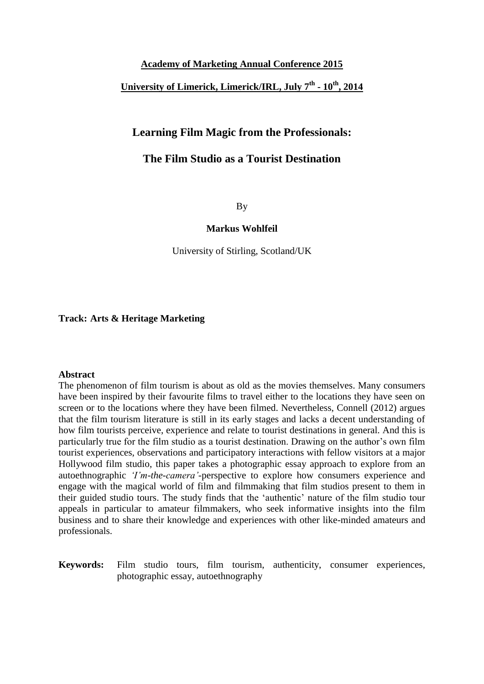## **Academy of Marketing Annual Conference 2015**

# **University of Limerick, Limerick/IRL, July 7th - 10th, 2014**

# **Learning Film Magic from the Professionals:**

# **The Film Studio as a Tourist Destination**

By

## **Markus Wohlfeil**

University of Stirling, Scotland/UK

## **Track: Arts & Heritage Marketing**

## **Abstract**

The phenomenon of film tourism is about as old as the movies themselves. Many consumers have been inspired by their favourite films to travel either to the locations they have seen on screen or to the locations where they have been filmed. Nevertheless, Connell (2012) argues that the film tourism literature is still in its early stages and lacks a decent understanding of how film tourists perceive, experience and relate to tourist destinations in general. And this is particularly true for the film studio as a tourist destination. Drawing on the author's own film tourist experiences, observations and participatory interactions with fellow visitors at a major Hollywood film studio, this paper takes a photographic essay approach to explore from an autoethnographic *"I"m-the-camera"*-perspective to explore how consumers experience and engage with the magical world of film and filmmaking that film studios present to them in their guided studio tours. The study finds that the "authentic" nature of the film studio tour appeals in particular to amateur filmmakers, who seek informative insights into the film business and to share their knowledge and experiences with other like-minded amateurs and professionals.

**Keywords:** Film studio tours, film tourism, authenticity, consumer experiences, photographic essay, autoethnography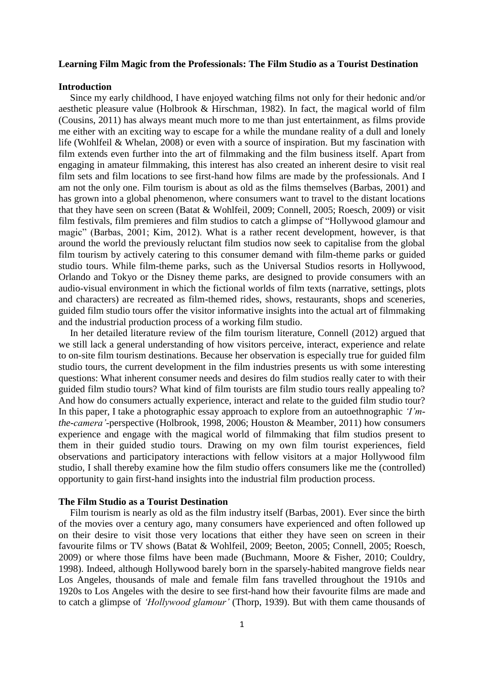#### **Learning Film Magic from the Professionals: The Film Studio as a Tourist Destination**

## **Introduction**

Since my early childhood, I have enjoyed watching films not only for their hedonic and/or aesthetic pleasure value (Holbrook & Hirschman, 1982). In fact, the magical world of film (Cousins, 2011) has always meant much more to me than just entertainment, as films provide me either with an exciting way to escape for a while the mundane reality of a dull and lonely life (Wohlfeil & Whelan, 2008) or even with a source of inspiration. But my fascination with film extends even further into the art of filmmaking and the film business itself. Apart from engaging in amateur filmmaking, this interest has also created an inherent desire to visit real film sets and film locations to see first-hand how films are made by the professionals. And I am not the only one. Film tourism is about as old as the films themselves (Barbas, 2001) and has grown into a global phenomenon, where consumers want to travel to the distant locations that they have seen on screen (Batat & Wohlfeil, 2009; Connell, 2005; Roesch, 2009) or visit film festivals, film premieres and film studios to catch a glimpse of "Hollywood glamour and magic" (Barbas, 2001; Kim, 2012). What is a rather recent development, however, is that around the world the previously reluctant film studios now seek to capitalise from the global film tourism by actively catering to this consumer demand with film-theme parks or guided studio tours. While film-theme parks, such as the Universal Studios resorts in Hollywood, Orlando and Tokyo or the Disney theme parks, are designed to provide consumers with an audio-visual environment in which the fictional worlds of film texts (narrative, settings, plots and characters) are recreated as film-themed rides, shows, restaurants, shops and sceneries, guided film studio tours offer the visitor informative insights into the actual art of filmmaking and the industrial production process of a working film studio.

In her detailed literature review of the film tourism literature, Connell (2012) argued that we still lack a general understanding of how visitors perceive, interact, experience and relate to on-site film tourism destinations. Because her observation is especially true for guided film studio tours, the current development in the film industries presents us with some interesting questions: What inherent consumer needs and desires do film studios really cater to with their guided film studio tours? What kind of film tourists are film studio tours really appealing to? And how do consumers actually experience, interact and relate to the guided film studio tour? In this paper, I take a photographic essay approach to explore from an autoethnographic *"I"mthe-camera"*-perspective (Holbrook, 1998, 2006; Houston & Meamber, 2011) how consumers experience and engage with the magical world of filmmaking that film studios present to them in their guided studio tours. Drawing on my own film tourist experiences, field observations and participatory interactions with fellow visitors at a major Hollywood film studio, I shall thereby examine how the film studio offers consumers like me the (controlled) opportunity to gain first-hand insights into the industrial film production process.

## **The Film Studio as a Tourist Destination**

Film tourism is nearly as old as the film industry itself (Barbas, 2001). Ever since the birth of the movies over a century ago, many consumers have experienced and often followed up on their desire to visit those very locations that either they have seen on screen in their favourite films or TV shows (Batat & Wohlfeil, 2009; Beeton, 2005; Connell, 2005; Roesch, 2009) or where those films have been made (Buchmann, Moore & Fisher, 2010; Couldry, 1998). Indeed, although Hollywood barely born in the sparsely-habited mangrove fields near Los Angeles, thousands of male and female film fans travelled throughout the 1910s and 1920s to Los Angeles with the desire to see first-hand how their favourite films are made and to catch a glimpse of *"Hollywood glamour"* (Thorp, 1939). But with them came thousands of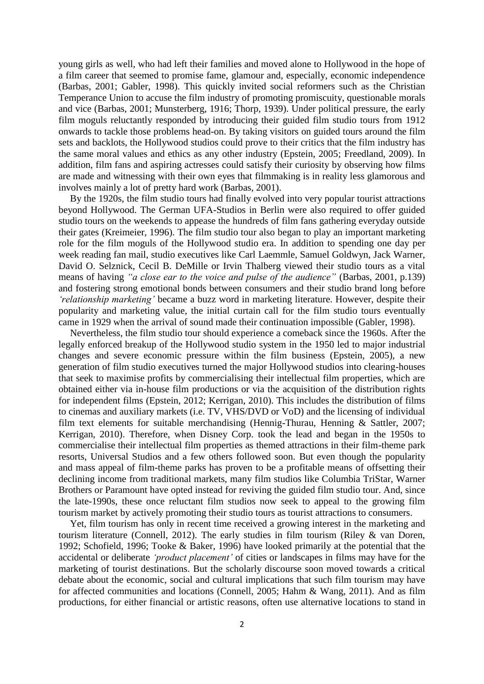young girls as well, who had left their families and moved alone to Hollywood in the hope of a film career that seemed to promise fame, glamour and, especially, economic independence (Barbas, 2001; Gabler, 1998). This quickly invited social reformers such as the Christian Temperance Union to accuse the film industry of promoting promiscuity, questionable morals and vice (Barbas, 2001; Munsterberg, 1916; Thorp, 1939). Under political pressure, the early film moguls reluctantly responded by introducing their guided film studio tours from 1912 onwards to tackle those problems head-on. By taking visitors on guided tours around the film sets and backlots, the Hollywood studios could prove to their critics that the film industry has the same moral values and ethics as any other industry (Epstein, 2005; Freedland, 2009). In addition, film fans and aspiring actresses could satisfy their curiosity by observing how films are made and witnessing with their own eyes that filmmaking is in reality less glamorous and involves mainly a lot of pretty hard work (Barbas, 2001).

By the 1920s, the film studio tours had finally evolved into very popular tourist attractions beyond Hollywood. The German UFA-Studios in Berlin were also required to offer guided studio tours on the weekends to appease the hundreds of film fans gathering everyday outside their gates (Kreimeier, 1996). The film studio tour also began to play an important marketing role for the film moguls of the Hollywood studio era. In addition to spending one day per week reading fan mail, studio executives like Carl Laemmle, Samuel Goldwyn, Jack Warner, David O. Selznick, Cecil B. DeMille or Irvin Thalberg viewed their studio tours as a vital means of having *"a close ear to the voice and pulse of the audience"* (Barbas, 2001, p.139) and fostering strong emotional bonds between consumers and their studio brand long before *"relationship marketing"* became a buzz word in marketing literature. However, despite their popularity and marketing value, the initial curtain call for the film studio tours eventually came in 1929 when the arrival of sound made their continuation impossible (Gabler, 1998).

Nevertheless, the film studio tour should experience a comeback since the 1960s. After the legally enforced breakup of the Hollywood studio system in the 1950 led to major industrial changes and severe economic pressure within the film business (Epstein, 2005), a new generation of film studio executives turned the major Hollywood studios into clearing-houses that seek to maximise profits by commercialising their intellectual film properties, which are obtained either via in-house film productions or via the acquisition of the distribution rights for independent films (Epstein, 2012; Kerrigan, 2010). This includes the distribution of films to cinemas and auxiliary markets (i.e. TV, VHS/DVD or VoD) and the licensing of individual film text elements for suitable merchandising (Hennig-Thurau, Henning & Sattler, 2007; Kerrigan, 2010). Therefore, when Disney Corp. took the lead and began in the 1950s to commercialise their intellectual film properties as themed attractions in their film-theme park resorts, Universal Studios and a few others followed soon. But even though the popularity and mass appeal of film-theme parks has proven to be a profitable means of offsetting their declining income from traditional markets, many film studios like Columbia TriStar, Warner Brothers or Paramount have opted instead for reviving the guided film studio tour. And, since the late-1990s, these once reluctant film studios now seek to appeal to the growing film tourism market by actively promoting their studio tours as tourist attractions to consumers.

Yet, film tourism has only in recent time received a growing interest in the marketing and tourism literature (Connell, 2012). The early studies in film tourism (Riley & van Doren, 1992; Schofield, 1996; Tooke & Baker, 1996) have looked primarily at the potential that the accidental or deliberate *"product placement"* of cities or landscapes in films may have for the marketing of tourist destinations. But the scholarly discourse soon moved towards a critical debate about the economic, social and cultural implications that such film tourism may have for affected communities and locations (Connell, 2005; Hahm & Wang, 2011). And as film productions, for either financial or artistic reasons, often use alternative locations to stand in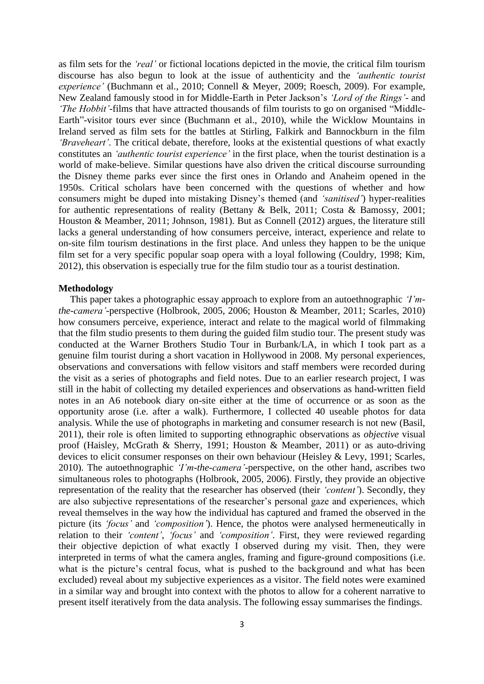as film sets for the *"real"* or fictional locations depicted in the movie, the critical film tourism discourse has also begun to look at the issue of authenticity and the *"authentic tourist experience"* (Buchmann et al., 2010; Connell & Meyer, 2009; Roesch, 2009). For example, New Zealand famously stood in for Middle-Earth in Peter Jackson"s *"Lord of the Rings"*- and *The Hobbit'*-films that have attracted thousands of film tourists to go on organised "Middle-Earth"-visitor tours ever since (Buchmann et al., 2010), while the Wicklow Mountains in Ireland served as film sets for the battles at Stirling, Falkirk and Bannockburn in the film *'Braveheart'*. The critical debate, therefore, looks at the existential questions of what exactly constitutes an *"authentic tourist experience"* in the first place, when the tourist destination is a world of make-believe. Similar questions have also driven the critical discourse surrounding the Disney theme parks ever since the first ones in Orlando and Anaheim opened in the 1950s. Critical scholars have been concerned with the questions of whether and how consumers might be duped into mistaking Disney"s themed (and *"sanitised"*) hyper-realities for authentic representations of reality (Bettany & Belk, 2011; Costa & Bamossy, 2001; Houston & Meamber, 2011; Johnson, 1981). But as Connell (2012) argues, the literature still lacks a general understanding of how consumers perceive, interact, experience and relate to on-site film tourism destinations in the first place. And unless they happen to be the unique film set for a very specific popular soap opera with a loyal following (Couldry, 1998; Kim, 2012), this observation is especially true for the film studio tour as a tourist destination.

## **Methodology**

This paper takes a photographic essay approach to explore from an autoethnographic *T*<sub>m</sub>*the-camera"*-perspective (Holbrook, 2005, 2006; Houston & Meamber, 2011; Scarles, 2010) how consumers perceive, experience, interact and relate to the magical world of filmmaking that the film studio presents to them during the guided film studio tour. The present study was conducted at the Warner Brothers Studio Tour in Burbank/LA, in which I took part as a genuine film tourist during a short vacation in Hollywood in 2008. My personal experiences, observations and conversations with fellow visitors and staff members were recorded during the visit as a series of photographs and field notes. Due to an earlier research project, I was still in the habit of collecting my detailed experiences and observations as hand-written field notes in an A6 notebook diary on-site either at the time of occurrence or as soon as the opportunity arose (i.e. after a walk). Furthermore, I collected 40 useable photos for data analysis. While the use of photographs in marketing and consumer research is not new (Basil, 2011), their role is often limited to supporting ethnographic observations as *objective* visual proof (Haisley, McGrath & Sherry, 1991; Houston & Meamber, 2011) or as auto-driving devices to elicit consumer responses on their own behaviour (Heisley & Levy, 1991; Scarles, 2010). The autoethnographic *"I"m-the-camera"*-perspective, on the other hand, ascribes two simultaneous roles to photographs (Holbrook, 2005, 2006). Firstly, they provide an objective representation of the reality that the researcher has observed (their *"content"*). Secondly, they are also subjective representations of the researcher"s personal gaze and experiences, which reveal themselves in the way how the individual has captured and framed the observed in the picture (its *"focus"* and *"composition"*). Hence, the photos were analysed hermeneutically in relation to their *"content"*, *"focus"* and *"composition"*. First, they were reviewed regarding their objective depiction of what exactly I observed during my visit. Then, they were interpreted in terms of what the camera angles, framing and figure-ground compositions (i.e. what is the picture's central focus, what is pushed to the background and what has been excluded) reveal about my subjective experiences as a visitor. The field notes were examined in a similar way and brought into context with the photos to allow for a coherent narrative to present itself iteratively from the data analysis. The following essay summarises the findings.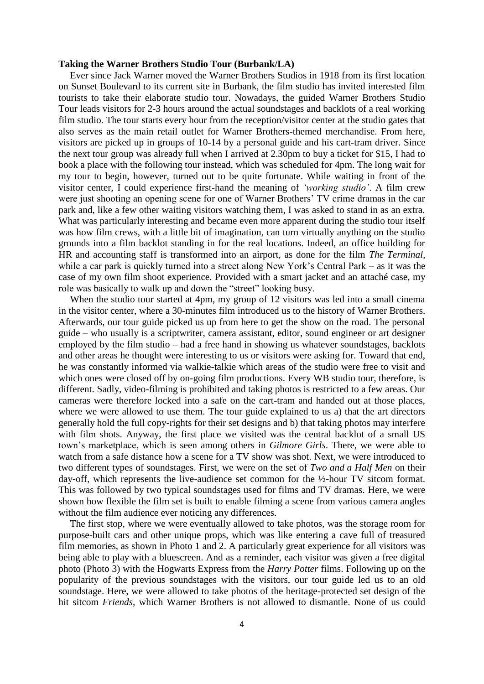## **Taking the Warner Brothers Studio Tour (Burbank/LA)**

Ever since Jack Warner moved the Warner Brothers Studios in 1918 from its first location on Sunset Boulevard to its current site in Burbank, the film studio has invited interested film tourists to take their elaborate studio tour. Nowadays, the guided Warner Brothers Studio Tour leads visitors for 2-3 hours around the actual soundstages and backlots of a real working film studio. The tour starts every hour from the reception/visitor center at the studio gates that also serves as the main retail outlet for Warner Brothers-themed merchandise. From here, visitors are picked up in groups of 10-14 by a personal guide and his cart-tram driver. Since the next tour group was already full when I arrived at 2.30pm to buy a ticket for \$15, I had to book a place with the following tour instead, which was scheduled for 4pm. The long wait for my tour to begin, however, turned out to be quite fortunate. While waiting in front of the visitor center, I could experience first-hand the meaning of *"working studio"*. A film crew were just shooting an opening scene for one of Warner Brothers' TV crime dramas in the car park and, like a few other waiting visitors watching them, I was asked to stand in as an extra. What was particularly interesting and became even more apparent during the studio tour itself was how film crews, with a little bit of imagination, can turn virtually anything on the studio grounds into a film backlot standing in for the real locations. Indeed, an office building for HR and accounting staff is transformed into an airport, as done for the film *The Terminal*, while a car park is quickly turned into a street along New York's Central Park – as it was the case of my own film shoot experience. Provided with a smart jacket and an attaché case, my role was basically to walk up and down the "street" looking busy.

When the studio tour started at 4pm, my group of 12 visitors was led into a small cinema in the visitor center, where a 30-minutes film introduced us to the history of Warner Brothers. Afterwards, our tour guide picked us up from here to get the show on the road. The personal guide – who usually is a scriptwriter, camera assistant, editor, sound engineer or art designer employed by the film studio – had a free hand in showing us whatever soundstages, backlots and other areas he thought were interesting to us or visitors were asking for. Toward that end, he was constantly informed via walkie-talkie which areas of the studio were free to visit and which ones were closed off by on-going film productions. Every WB studio tour, therefore, is different. Sadly, video-filming is prohibited and taking photos is restricted to a few areas. Our cameras were therefore locked into a safe on the cart-tram and handed out at those places, where we were allowed to use them. The tour guide explained to us a) that the art directors generally hold the full copy-rights for their set designs and b) that taking photos may interfere with film shots. Anyway, the first place we visited was the central backlot of a small US town"s marketplace, which is seen among others in *Gilmore Girls*. There, we were able to watch from a safe distance how a scene for a TV show was shot. Next, we were introduced to two different types of soundstages. First, we were on the set of *Two and a Half Men* on their day-off, which represents the live-audience set common for the ½-hour TV sitcom format. This was followed by two typical soundstages used for films and TV dramas. Here, we were shown how flexible the film set is built to enable filming a scene from various camera angles without the film audience ever noticing any differences.

The first stop, where we were eventually allowed to take photos, was the storage room for purpose-built cars and other unique props, which was like entering a cave full of treasured film memories, as shown in Photo 1 and 2. A particularly great experience for all visitors was being able to play with a bluescreen. And as a reminder, each visitor was given a free digital photo (Photo 3) with the Hogwarts Express from the *Harry Potter* films. Following up on the popularity of the previous soundstages with the visitors, our tour guide led us to an old soundstage. Here, we were allowed to take photos of the heritage-protected set design of the hit sitcom *Friends*, which Warner Brothers is not allowed to dismantle. None of us could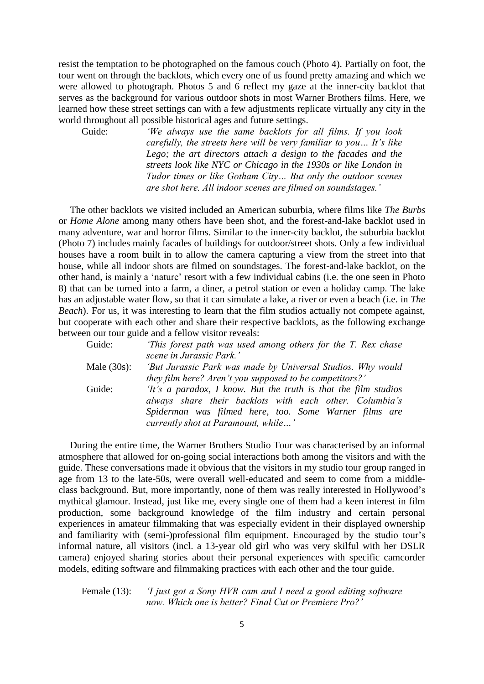resist the temptation to be photographed on the famous couch (Photo 4). Partially on foot, the tour went on through the backlots, which every one of us found pretty amazing and which we were allowed to photograph. Photos 5 and 6 reflect my gaze at the inner-city backlot that serves as the background for various outdoor shots in most Warner Brothers films. Here, we learned how these street settings can with a few adjustments replicate virtually any city in the world throughout all possible historical ages and future settings.

Guide: *"We always use the same backlots for all films. If you look carefully, the streets here will be very familiar to you… It"s like Lego; the art directors attach a design to the facades and the streets look like NYC or Chicago in the 1930s or like London in Tudor times or like Gotham City… But only the outdoor scenes are shot here. All indoor scenes are filmed on soundstages."*

The other backlots we visited included an American suburbia, where films like *The Burbs* or *Home Alone* among many others have been shot, and the forest-and-lake backlot used in many adventure, war and horror films. Similar to the inner-city backlot, the suburbia backlot (Photo 7) includes mainly facades of buildings for outdoor/street shots. Only a few individual houses have a room built in to allow the camera capturing a view from the street into that house, while all indoor shots are filmed on soundstages. The forest-and-lake backlot, on the other hand, is mainly a "nature" resort with a few individual cabins (i.e. the one seen in Photo 8) that can be turned into a farm, a diner, a petrol station or even a holiday camp. The lake has an adjustable water flow, so that it can simulate a lake, a river or even a beach (i.e. in *The Beach*). For us, it was interesting to learn that the film studios actually not compete against, but cooperate with each other and share their respective backlots, as the following exchange between our tour guide and a fellow visitor reveals:

| Guide:         | This forest path was used among others for the T. Rex chase                                                                |
|----------------|----------------------------------------------------------------------------------------------------------------------------|
|                | scene in Jurassic Park.'                                                                                                   |
| Male $(30s)$ : | 'But Jurassic Park was made by Universal Studios. Why would                                                                |
|                | they film here? Aren't you supposed to be competitors?'                                                                    |
| Guide:         | 'It's a paradox, I know. But the truth is that the film studios<br>always share their backlots with each other. Columbia's |
|                |                                                                                                                            |
|                | Spiderman was filmed here, too. Some Warner films are                                                                      |
|                | currently shot at Paramount, while'                                                                                        |

During the entire time, the Warner Brothers Studio Tour was characterised by an informal atmosphere that allowed for on-going social interactions both among the visitors and with the guide. These conversations made it obvious that the visitors in my studio tour group ranged in age from 13 to the late-50s, were overall well-educated and seem to come from a middleclass background. But, more importantly, none of them was really interested in Hollywood"s mythical glamour. Instead, just like me, every single one of them had a keen interest in film production, some background knowledge of the film industry and certain personal experiences in amateur filmmaking that was especially evident in their displayed ownership and familiarity with (semi-)professional film equipment. Encouraged by the studio tour"s informal nature, all visitors (incl. a 13-year old girl who was very skilful with her DSLR camera) enjoyed sharing stories about their personal experiences with specific camcorder models, editing software and filmmaking practices with each other and the tour guide.

Female (13): *"I just got a Sony HVR cam and I need a good editing software now. Which one is better? Final Cut or Premiere Pro?"*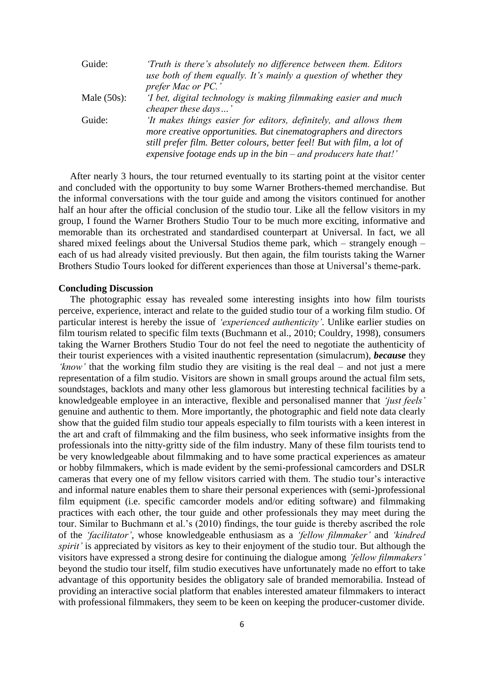| Guide:         | 'Truth is there's absolutely no difference between them. Editors        |
|----------------|-------------------------------------------------------------------------|
|                | use both of them equally. It's mainly a question of whether they        |
|                | prefer Mac or PC.'                                                      |
| Male $(50s)$ : | I bet, digital technology is making filmmaking easier and much          |
|                | cheaper these days'                                                     |
| Guide:         | 'It makes things easier for editors, definitely, and allows them        |
|                | more creative opportunities. But cinematographers and directors         |
|                | still prefer film. Better colours, better feel! But with film, a lot of |
|                | expensive footage ends up in the $bin-$ and producers hate that!'       |

After nearly 3 hours, the tour returned eventually to its starting point at the visitor center and concluded with the opportunity to buy some Warner Brothers-themed merchandise. But the informal conversations with the tour guide and among the visitors continued for another half an hour after the official conclusion of the studio tour. Like all the fellow visitors in my group, I found the Warner Brothers Studio Tour to be much more exciting, informative and memorable than its orchestrated and standardised counterpart at Universal. In fact, we all shared mixed feelings about the Universal Studios theme park, which – strangely enough – each of us had already visited previously. But then again, the film tourists taking the Warner Brothers Studio Tours looked for different experiences than those at Universal's theme-park.

#### **Concluding Discussion**

The photographic essay has revealed some interesting insights into how film tourists perceive, experience, interact and relate to the guided studio tour of a working film studio. Of particular interest is hereby the issue of *"experienced authenticity"*. Unlike earlier studies on film tourism related to specific film texts (Buchmann et al., 2010; Couldry, 1998), consumers taking the Warner Brothers Studio Tour do not feel the need to negotiate the authenticity of their tourist experiences with a visited inauthentic representation (simulacrum), *because* they *"know"* that the working film studio they are visiting is the real deal – and not just a mere representation of a film studio. Visitors are shown in small groups around the actual film sets, soundstages, backlots and many other less glamorous but interesting technical facilities by a knowledgeable employee in an interactive, flexible and personalised manner that *"just feels"* genuine and authentic to them. More importantly, the photographic and field note data clearly show that the guided film studio tour appeals especially to film tourists with a keen interest in the art and craft of filmmaking and the film business, who seek informative insights from the professionals into the nitty-gritty side of the film industry. Many of these film tourists tend to be very knowledgeable about filmmaking and to have some practical experiences as amateur or hobby filmmakers, which is made evident by the semi-professional camcorders and DSLR cameras that every one of my fellow visitors carried with them. The studio tour's interactive and informal nature enables them to share their personal experiences with (semi-)professional film equipment (i.e. specific camcorder models and/or editing software) and filmmaking practices with each other, the tour guide and other professionals they may meet during the tour. Similar to Buchmann et al."s (2010) findings, the tour guide is thereby ascribed the role of the *"facilitator"*, whose knowledgeable enthusiasm as a *"fellow filmmaker"* and *"kindred spirit'* is appreciated by visitors as key to their enjoyment of the studio tour. But although the visitors have expressed a strong desire for continuing the dialogue among *"fellow filmmakers"* beyond the studio tour itself, film studio executives have unfortunately made no effort to take advantage of this opportunity besides the obligatory sale of branded memorabilia. Instead of providing an interactive social platform that enables interested amateur filmmakers to interact with professional filmmakers, they seem to be keen on keeping the producer-customer divide.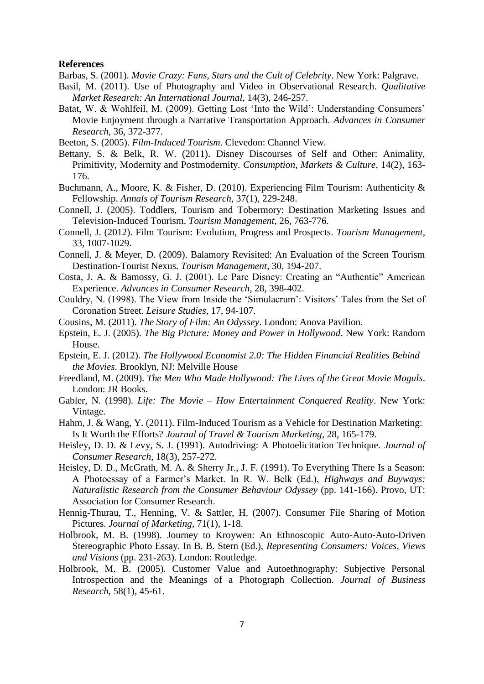### **References**

Barbas, S. (2001). *Movie Crazy: Fans, Stars and the Cult of Celebrity*. New York: Palgrave.

- Basil, M. (2011). Use of Photography and Video in Observational Research. *Qualitative Market Research: An International Journal*, 14(3), 246-257.
- Batat, W. & Wohlfeil, M. (2009). Getting Lost 'Into the Wild': Understanding Consumers' Movie Enjoyment through a Narrative Transportation Approach. *Advances in Consumer Research*, 36, 372-377.
- Beeton, S. (2005). *Film-Induced Tourism*. Clevedon: Channel View.
- Bettany, S. & Belk, R. W. (2011). Disney Discourses of Self and Other: Animality, Primitivity, Modernity and Postmodernity. *Consumption, Markets & Culture*, 14(2), 163- 176.
- Buchmann, A., Moore, K. & Fisher, D. (2010). Experiencing Film Tourism: Authenticity & Fellowship. *Annals of Tourism Research*, 37(1), 229-248.
- Connell, J. (2005). Toddlers, Tourism and Tobermory: Destination Marketing Issues and Television-Induced Tourism. *Tourism Management*, 26, 763-776.
- Connell, J. (2012). Film Tourism: Evolution, Progress and Prospects. *Tourism Management*, 33, 1007-1029.
- Connell, J. & Meyer, D. (2009). Balamory Revisited: An Evaluation of the Screen Tourism Destination-Tourist Nexus. *Tourism Management*, 30, 194-207.
- Costa, J. A. & Bamossy, G. J. (2001). Le Parc Disney: Creating an "Authentic" American Experience. *Advances in Consumer Research*, 28, 398-402.
- Couldry, N. (1998). The View from Inside the 'Simulacrum': Visitors' Tales from the Set of Coronation Street. *Leisure Studies*, 17, 94-107.
- Cousins, M. (2011). *The Story of Film: An Odyssey*. London: Anova Pavilion.
- Epstein, E. J. (2005). *The Big Picture: Money and Power in Hollywood*. New York: Random House.
- Epstein, E. J. (2012). *The Hollywood Economist 2.0: The Hidden Financial Realities Behind the Movies*. Brooklyn, NJ: Melville House
- Freedland, M. (2009). *The Men Who Made Hollywood: The Lives of the Great Movie Moguls*. London: JR Books.
- Gabler, N. (1998). *Life: The Movie – How Entertainment Conquered Reality*. New York: Vintage.
- Hahm, J. & Wang, Y. (2011). Film-Induced Tourism as a Vehicle for Destination Marketing: Is It Worth the Efforts? *Journal of Travel & Tourism Marketing*, 28, 165-179.
- Heisley, D. D. & Levy, S. J. (1991). Autodriving: A Photoelicitation Technique. *Journal of Consumer Research*, 18(3), 257-272.
- Heisley, D. D., McGrath, M. A. & Sherry Jr., J. F. (1991). To Everything There Is a Season: A Photoessay of a Farmer"s Market. In R. W. Belk (Ed.), *Highways and Buyways: Naturalistic Research from the Consumer Behaviour Odyssey* (pp. 141-166). Provo, UT: Association for Consumer Research.
- Hennig-Thurau, T., Henning, V. & Sattler, H. (2007). Consumer File Sharing of Motion Pictures. *Journal of Marketing*, 71(1), 1-18.
- Holbrook, M. B. (1998). Journey to Kroywen: An Ethnoscopic Auto-Auto-Auto-Driven Stereographic Photo Essay. In B. B. Stern (Ed.), *Representing Consumers: Voices, Views and Visions* (pp. 231-263). London: Routledge.
- Holbrook, M. B. (2005). Customer Value and Autoethnography: Subjective Personal Introspection and the Meanings of a Photograph Collection. *Journal of Business Research*, 58(1), 45-61.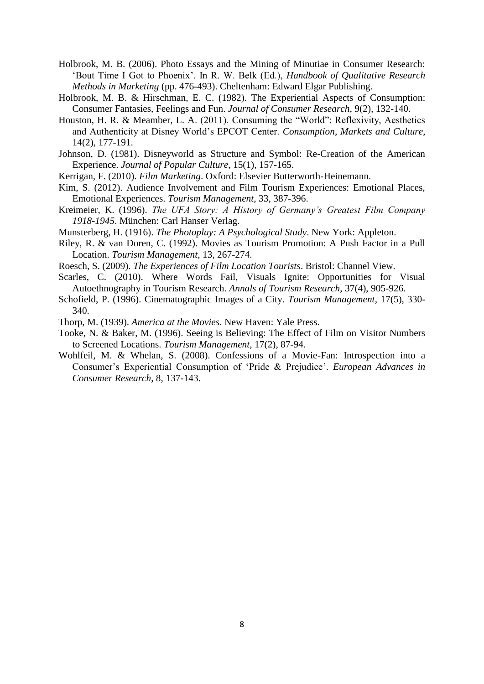- Holbrook, M. B. (2006). Photo Essays and the Mining of Minutiae in Consumer Research: "Bout Time I Got to Phoenix". In R. W. Belk (Ed.), *Handbook of Qualitative Research Methods in Marketing* (pp. 476-493). Cheltenham: Edward Elgar Publishing.
- Holbrook, M. B. & Hirschman, E. C. (1982). The Experiential Aspects of Consumption: Consumer Fantasies, Feelings and Fun. *Journal of Consumer Research*, 9(2), 132-140.
- Houston, H. R. & Meamber, L. A. (2011). Consuming the "World": Reflexivity, Aesthetics and Authenticity at Disney World"s EPCOT Center. *Consumption, Markets and Culture*, 14(2), 177-191.
- Johnson, D. (1981). Disneyworld as Structure and Symbol: Re-Creation of the American Experience. *Journal of Popular Culture*, 15(1), 157-165.
- Kerrigan, F. (2010). *Film Marketing*. Oxford: Elsevier Butterworth-Heinemann.
- Kim, S. (2012). Audience Involvement and Film Tourism Experiences: Emotional Places, Emotional Experiences. *Tourism Management*, 33, 387-396.
- Kreimeier, K. (1996). *The UFA Story: A History of Germany"s Greatest Film Company 1918-1945*. München: Carl Hanser Verlag.
- Munsterberg, H. (1916). *The Photoplay: A Psychological Study*. New York: Appleton.
- Riley, R. & van Doren, C. (1992). Movies as Tourism Promotion: A Push Factor in a Pull Location. *Tourism Management*, 13, 267-274.
- Roesch, S. (2009). *The Experiences of Film Location Tourists*. Bristol: Channel View.
- Scarles, C. (2010). Where Words Fail, Visuals Ignite: Opportunities for Visual Autoethnography in Tourism Research. *Annals of Tourism Research*, 37(4), 905-926.
- Schofield, P. (1996). Cinematographic Images of a City. *Tourism Management*, 17(5), 330- 340.
- Thorp, M. (1939). *America at the Movies*. New Haven: Yale Press.
- Tooke, N. & Baker, M. (1996). Seeing is Believing: The Effect of Film on Visitor Numbers to Screened Locations. *Tourism Management*, 17(2), 87-94.
- Wohlfeil, M. & Whelan, S. (2008). Confessions of a Movie-Fan: Introspection into a Consumer"s Experiential Consumption of "Pride & Prejudice". *European Advances in Consumer Research*, 8, 137-143.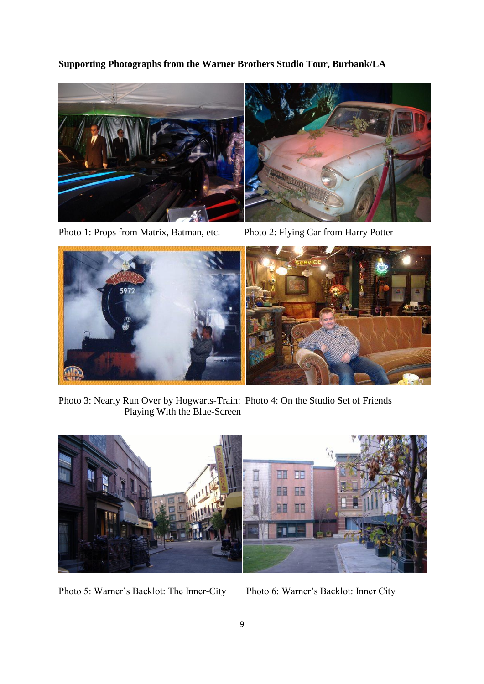**Supporting Photographs from the Warner Brothers Studio Tour, Burbank/LA**



Photo 1: Props from Matrix, Batman, etc. Photo 2: Flying Car from Harry Potter



Photo 3: Nearly Run Over by Hogwarts-Train: Photo 4: On the Studio Set of Friends Playing With the Blue-Screen



Photo 5: Warner's Backlot: The Inner-City Photo 6: Warner's Backlot: Inner City